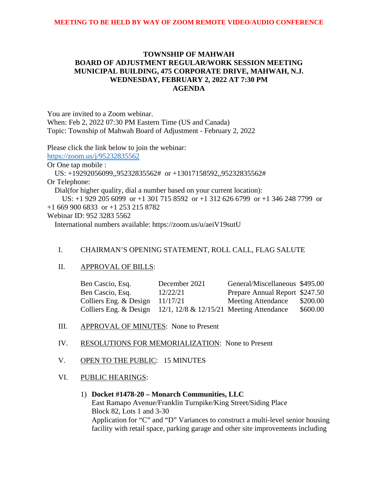# **TOWNSHIP OF MAHWAH BOARD OF ADJUSTMENT REGULAR/WORK SESSION MEETING MUNICIPAL BUILDING, 475 CORPORATE DRIVE, MAHWAH, N.J. WEDNESDAY, FEBRUARY 2, 2022 AT 7:30 PM AGENDA**

You are invited to a Zoom webinar. When: Feb 2, 2022 07:30 PM Eastern Time (US and Canada) Topic: Township of Mahwah Board of Adjustment - February 2, 2022

Please click the link below to join the webinar: <https://zoom.us/j/95232835562> Or One tap mobile : US: +19292056099,,95232835562# or +13017158592,,95232835562# Or Telephone: Dial(for higher quality, dial a number based on your current location): US: +1 929 205 6099 or +1 301 715 8592 or +1 312 626 6799 or +1 346 248 7799 or +1 669 900 6833 or +1 253 215 8782 Webinar ID: 952 3283 5562 International numbers available: https://zoom.us/u/aeiV19sutU

## I. CHAIRMAN'S OPENING STATEMENT, ROLL CALL, FLAG SALUTE

#### II. APPROVAL OF BILLS:

| Ben Cascio, Esq.                                                       | December 2021 | General/Miscellaneous \$495.00 |          |
|------------------------------------------------------------------------|---------------|--------------------------------|----------|
| Ben Cascio, Esq.                                                       | 12/22/21      | Prepare Annual Report \$247.50 |          |
| Colliers Eng. & Design                                                 | 11/17/21      | <b>Meeting Attendance</b>      | \$200.00 |
| Colliers Eng. & Design $12/1$ , $12/8$ & $12/15/21$ Meeting Attendance |               |                                | \$600.00 |

### III. APPROVAL OF MINUTES: None to Present

- IV. RESOLUTIONS FOR MEMORIALIZATION: None to Present
- V. OPEN TO THE PUBLIC: 15 MINUTES
- VI. PUBLIC HEARINGS:
	- 1) **Docket #1478-20 – Monarch Communities, LLC**  East Ramapo Avenue/Franklin Turnpike/King Street/Siding Place Block 82, Lots 1 and 3-30 Application for "C" and "D" Variances to construct a multi-level senior housing facility with retail space, parking garage and other site improvements including